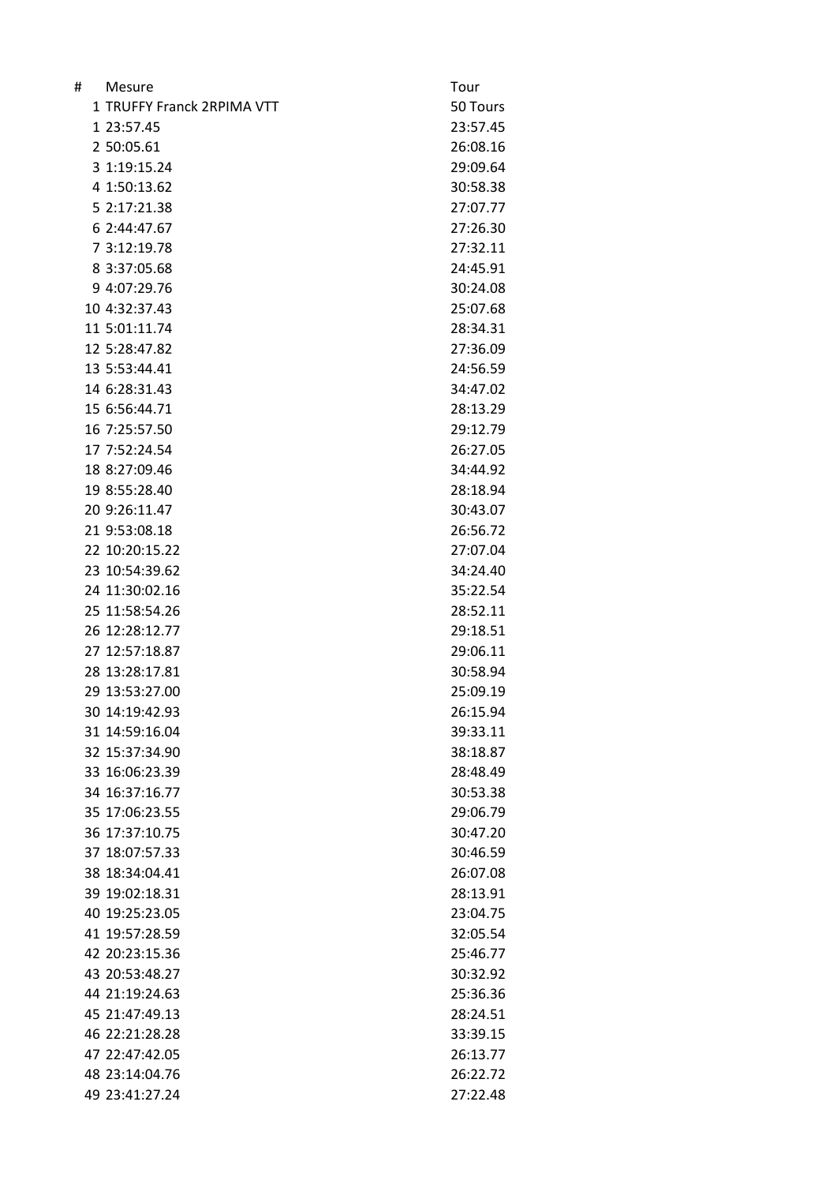| # | Mesure                     | Tour     |
|---|----------------------------|----------|
|   | 1 TRUFFY Franck 2RPIMA VTT | 50 Tours |
|   | 1 23:57.45                 | 23:57.45 |
|   | 2 50:05.61                 | 26:08.16 |
|   | 3 1:19:15.24               | 29:09.64 |
|   | 4 1:50:13.62               | 30:58.38 |
|   | 5 2:17:21.38               | 27:07.77 |
|   | 6 2:44:47.67               | 27:26.30 |
|   | 7 3:12:19.78               | 27:32.11 |
|   | 8 3:37:05.68               | 24:45.91 |
|   | 9 4:07:29.76               | 30:24.08 |
|   | 10 4:32:37.43              | 25:07.68 |
|   | 11 5:01:11.74              | 28:34.31 |
|   | 12 5:28:47.82              | 27:36.09 |
|   | 13 5:53:44.41              | 24:56.59 |
|   | 14 6:28:31.43              | 34:47.02 |
|   | 15 6:56:44.71              | 28:13.29 |
|   | 16 7:25:57.50              | 29:12.79 |
|   | 17 7:52:24.54              | 26:27.05 |
|   | 18 8:27:09.46              | 34:44.92 |
|   | 19 8:55:28.40              | 28:18.94 |
|   | 20 9:26:11.47              | 30:43.07 |
|   | 21 9:53:08.18              | 26:56.72 |
|   | 22 10:20:15.22             | 27:07.04 |
|   | 23 10:54:39.62             | 34:24.40 |
|   | 24 11:30:02.16             | 35:22.54 |
|   | 25 11:58:54.26             | 28:52.11 |
|   | 26 12:28:12.77             | 29:18.51 |
|   | 27 12:57:18.87             | 29:06.11 |
|   | 28 13:28:17.81             | 30:58.94 |
|   | 29 13:53:27.00             | 25:09.19 |
|   | 30 14:19:42.93             | 26:15.94 |
|   | 31 14:59:16.04             | 39:33.11 |
|   | 32 15:37:34.90             | 38:18.87 |
|   | 33 16:06:23.39             | 28:48.49 |
|   | 34 16:37:16.77             | 30:53.38 |
|   | 35 17:06:23.55             | 29:06.79 |
|   | 36 17:37:10.75             | 30:47.20 |
|   | 37 18:07:57.33             | 30:46.59 |
|   | 38 18:34:04.41             | 26:07.08 |
|   | 39 19:02:18.31             | 28:13.91 |
|   | 40 19:25:23.05             | 23:04.75 |
|   | 41 19:57:28.59             | 32:05.54 |
|   | 42 20:23:15.36             | 25:46.77 |
|   | 43 20:53:48.27             | 30:32.92 |
|   | 44 21:19:24.63             | 25:36.36 |
|   | 45 21:47:49.13             | 28:24.51 |
|   | 46 22:21:28.28             | 33:39.15 |
|   | 47 22:47:42.05             | 26:13.77 |
|   | 48 23:14:04.76             | 26:22.72 |
|   | 49 23:41:27.24             | 27:22.48 |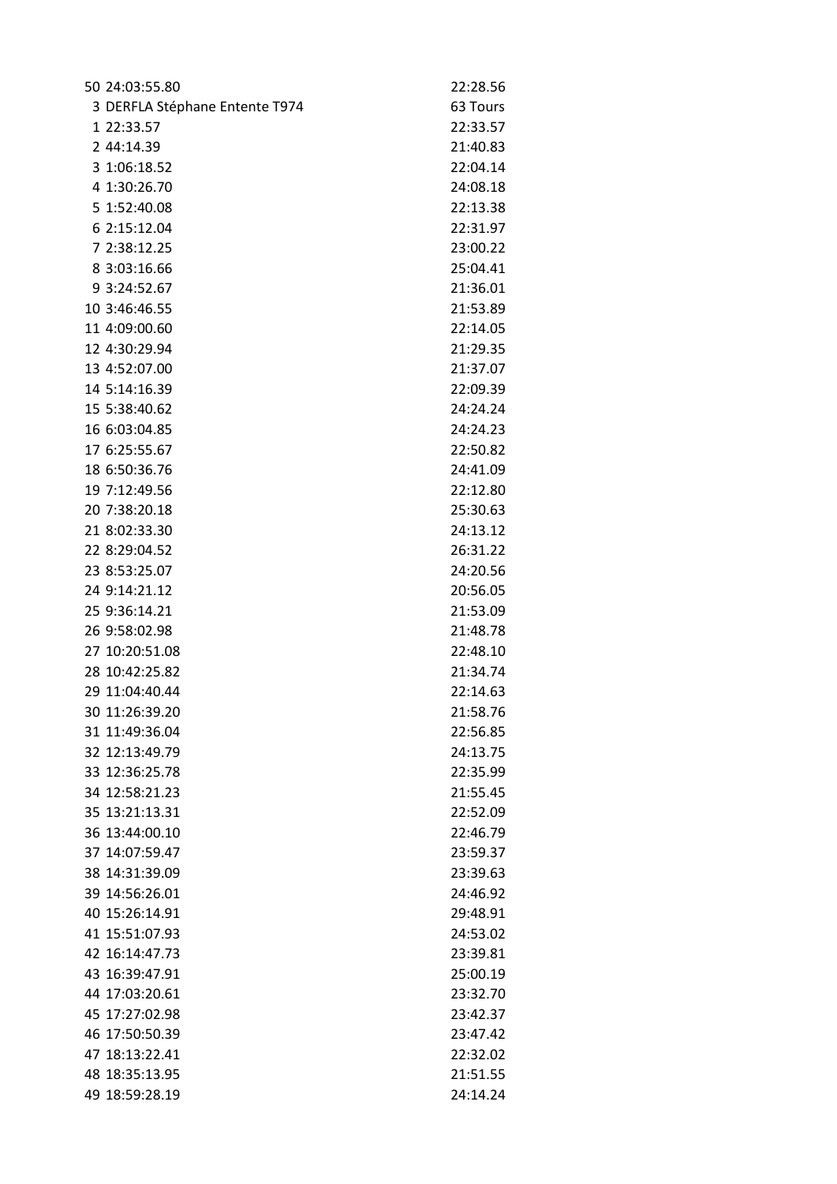| 50 24:03:55.80                 | 22:28.56 |
|--------------------------------|----------|
| 3 DERFLA Stéphane Entente T974 | 63 Tours |
| 1 22:33.57                     | 22:33.57 |
| 2 44:14.39                     | 21:40.83 |
| 3 1:06:18.52                   | 22:04.14 |
| 4 1:30:26.70                   | 24:08.18 |
| 5 1:52:40.08                   | 22:13.38 |
| 6 2:15:12.04                   | 22:31.97 |
| 7 2:38:12.25                   | 23:00.22 |
| 8 3:03:16.66                   | 25:04.41 |
| 9 3:24:52.67                   | 21:36.01 |
| 10 3:46:46.55                  | 21:53.89 |
| 11 4:09:00.60                  | 22:14.05 |
| 12 4:30:29.94                  | 21:29.35 |
| 13 4:52:07.00                  | 21:37.07 |
| 14 5:14:16.39                  | 22:09.39 |
| 15 5:38:40.62                  | 24:24.24 |
| 16 6:03:04.85                  | 24:24.23 |
| 17 6:25:55.67                  | 22:50.82 |
| 18 6:50:36.76                  | 24:41.09 |
| 19 7:12:49.56                  | 22:12.80 |
| 20 7:38:20.18                  | 25:30.63 |
| 21 8:02:33.30                  | 24:13.12 |
| 22 8:29:04.52                  | 26:31.22 |
| 23 8:53:25.07                  | 24:20.56 |
| 24 9:14:21.12                  | 20:56.05 |
| 25 9:36:14.21                  | 21:53.09 |
| 26 9:58:02.98                  | 21:48.78 |
| 27 10:20:51.08                 | 22:48.10 |
| 28 10:42:25.82                 | 21:34.74 |
| 29 11:04:40.44                 | 22:14.63 |
| 30 11:26:39.20                 | 21:58.76 |
| 31 11:49:36.04                 | 22:56.85 |
| 32 12:13:49.79                 | 24:13.75 |
| 33 12:36:25.78                 | 22:35.99 |
| 34 12:58:21.23                 | 21:55.45 |
| 35 13:21:13.31                 | 22:52.09 |
| 36 13:44:00.10                 | 22:46.79 |
| 37 14:07:59.47                 | 23:59.37 |
| 38 14:31:39.09                 | 23:39.63 |
| 39 14:56:26.01                 | 24:46.92 |
| 40 15:26:14.91                 | 29:48.91 |
| 41 15:51:07.93                 | 24:53.02 |
| 42 16:14:47.73                 | 23:39.81 |
| 43 16:39:47.91                 | 25:00.19 |
| 44 17:03:20.61                 | 23:32.70 |
| 45 17:27:02.98                 | 23:42.37 |
| 46 17:50:50.39                 | 23:47.42 |
| 47 18:13:22.41                 | 22:32.02 |
| 48 18:35:13.95                 | 21:51.55 |
| 49 18:59:28.19                 | 24:14.24 |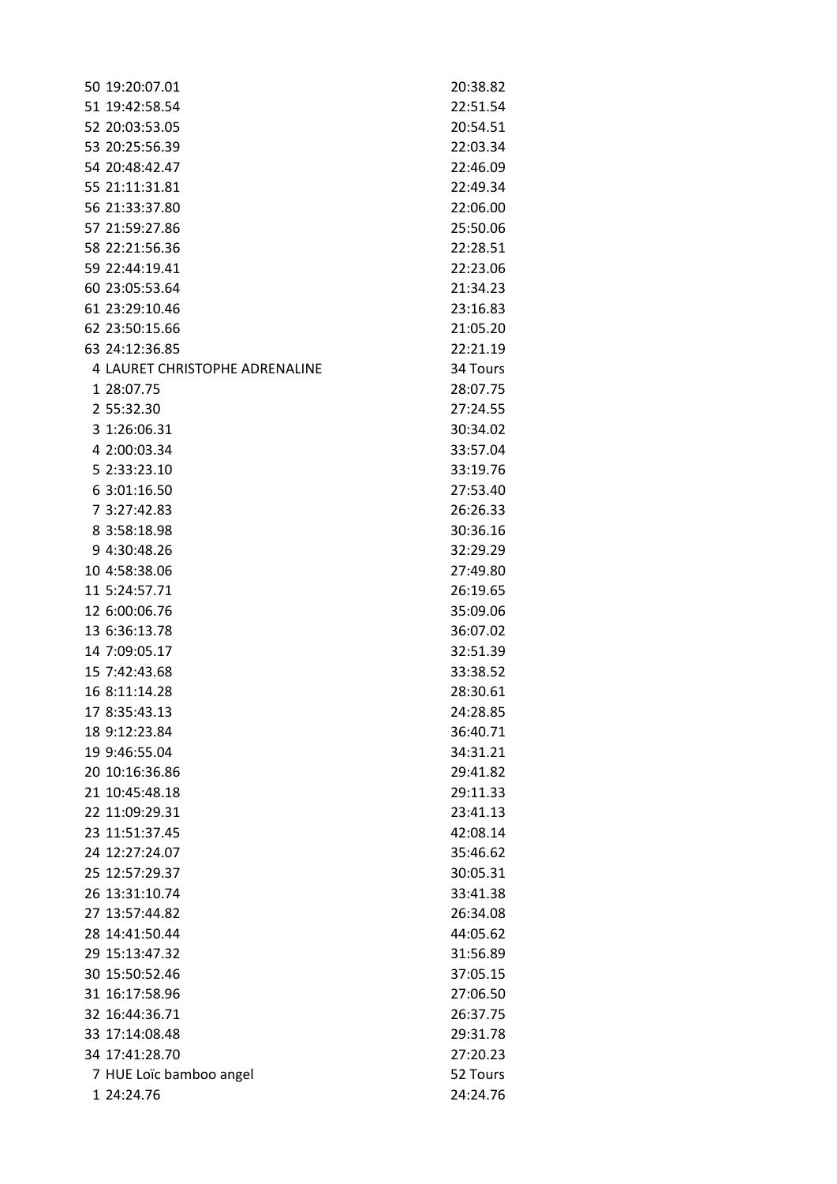| 50 19:20:07.01                 | 20:38.82 |
|--------------------------------|----------|
| 51 19:42:58.54                 | 22:51.54 |
| 52 20:03:53.05                 | 20:54.51 |
| 53 20:25:56.39                 | 22:03.34 |
| 54 20:48:42.47                 | 22:46.09 |
| 55 21:11:31.81                 | 22:49.34 |
| 56 21:33:37.80                 | 22:06.00 |
| 57 21:59:27.86                 | 25:50.06 |
| 58 22:21:56.36                 | 22:28.51 |
| 59 22:44:19.41                 | 22:23.06 |
| 60 23:05:53.64                 | 21:34.23 |
| 61 23:29:10.46                 | 23:16.83 |
| 62 23:50:15.66                 | 21:05.20 |
| 63 24:12:36.85                 | 22:21.19 |
| 4 LAURET CHRISTOPHE ADRENALINE | 34 Tours |
| 1 28:07.75                     | 28:07.75 |
| 2 55:32.30                     | 27:24.55 |
| 3 1:26:06.31                   | 30:34.02 |
| 4 2:00:03.34                   | 33:57.04 |
| 5 2:33:23.10                   | 33:19.76 |
| 6 3:01:16.50                   | 27:53.40 |
| 7 3:27:42.83                   | 26:26.33 |
| 8 3:58:18.98                   | 30:36.16 |
| 9 4:30:48.26                   | 32:29.29 |
| 10 4:58:38.06                  | 27:49.80 |
| 11 5:24:57.71                  | 26:19.65 |
| 12 6:00:06.76                  | 35:09.06 |
| 13 6:36:13.78                  | 36:07.02 |
| 14 7:09:05.17                  | 32:51.39 |
| 15 7:42:43.68                  | 33:38.52 |
| 16 8:11:14.28                  | 28:30.61 |
| 17 8:35:43.13                  | 24:28.85 |
| 18 9:12:23.84                  | 36:40.71 |
| 19 9:46:55.04                  | 34:31.21 |
| 20 10:16:36.86                 | 29:41.82 |
| 21 10:45:48.18                 | 29:11.33 |
| 22 11:09:29.31                 | 23:41.13 |
| 23 11:51:37.45                 | 42:08.14 |
| 24 12:27:24.07                 | 35:46.62 |
| 25 12:57:29.37                 | 30:05.31 |
| 26 13:31:10.74                 | 33:41.38 |
| 27 13:57:44.82                 | 26:34.08 |
| 28 14:41:50.44                 | 44:05.62 |
| 29 15:13:47.32                 | 31:56.89 |
| 30 15:50:52.46                 | 37:05.15 |
| 31 16:17:58.96                 | 27:06.50 |
| 32 16:44:36.71                 | 26:37.75 |
| 33 17:14:08.48                 | 29:31.78 |
| 34 17:41:28.70                 | 27:20.23 |
| 7 HUE Loïc bamboo angel        | 52 Tours |
| 1 24:24.76                     | 24:24.76 |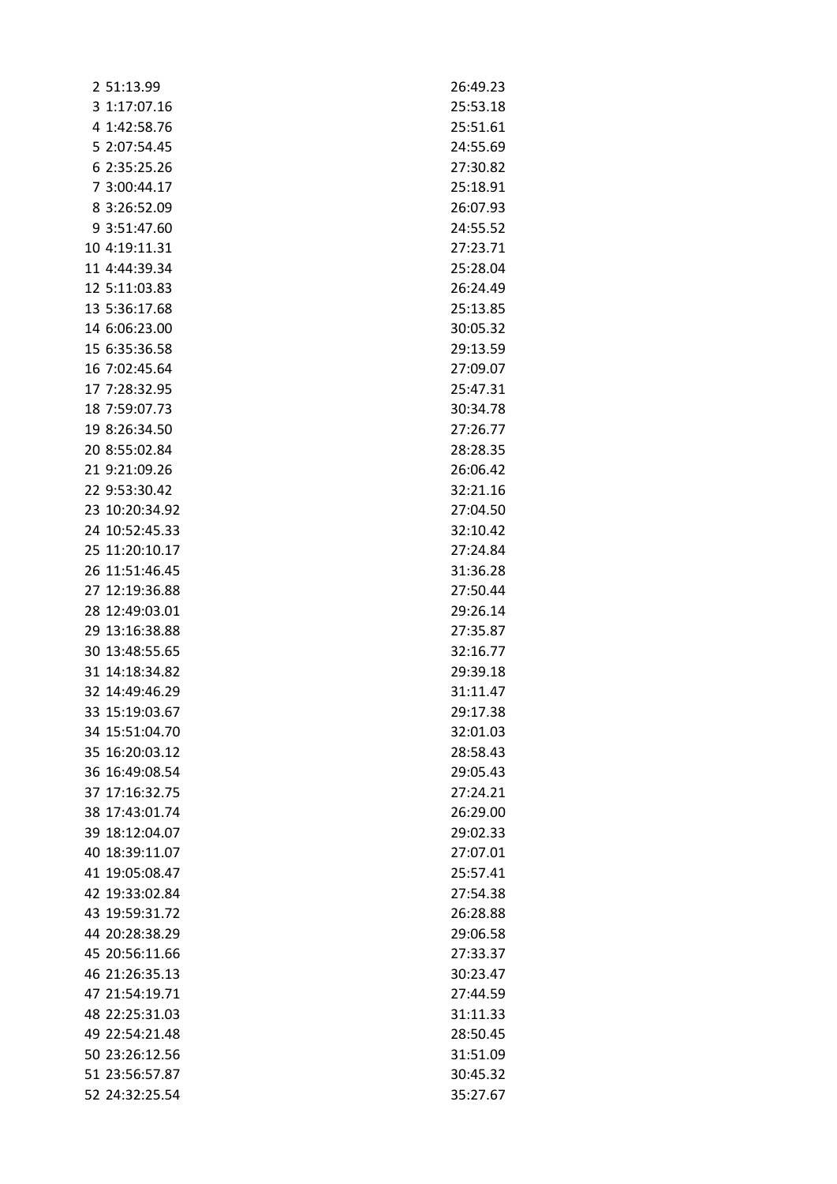| 2 51:13.99     | 26:49.23 |
|----------------|----------|
| 3 1:17:07.16   | 25:53.18 |
| 4 1:42:58.76   | 25:51.61 |
| 5 2:07:54.45   | 24:55.69 |
| 6 2:35:25.26   | 27:30.82 |
| 7 3:00:44.17   | 25:18.91 |
| 8 3:26:52.09   | 26:07.93 |
| 9 3:51:47.60   | 24:55.52 |
| 10 4:19:11.31  | 27:23.71 |
| 11 4:44:39.34  | 25:28.04 |
| 12 5:11:03.83  | 26:24.49 |
| 13 5:36:17.68  | 25:13.85 |
| 14 6:06:23.00  | 30:05.32 |
| 15 6:35:36.58  | 29:13.59 |
| 16 7:02:45.64  | 27:09.07 |
| 17 7:28:32.95  | 25:47.31 |
| 18 7:59:07.73  | 30:34.78 |
| 19 8:26:34.50  | 27:26.77 |
| 20 8:55:02.84  | 28:28.35 |
| 21 9:21:09.26  | 26:06.42 |
| 22 9:53:30.42  | 32:21.16 |
| 23 10:20:34.92 | 27:04.50 |
| 24 10:52:45.33 | 32:10.42 |
| 25 11:20:10.17 | 27:24.84 |
| 26 11:51:46.45 | 31:36.28 |
| 27 12:19:36.88 | 27:50.44 |
| 28 12:49:03.01 | 29:26.14 |
| 29 13:16:38.88 | 27:35.87 |
| 30 13:48:55.65 | 32:16.77 |
| 31 14:18:34.82 | 29:39.18 |
| 32 14:49:46.29 | 31:11.47 |
| 33 15:19:03.67 | 29:17.38 |
| 34 15:51:04.70 | 32:01.03 |
| 35 16:20:03.12 | 28:58.43 |
| 36 16:49:08.54 | 29:05.43 |
| 37 17:16:32.75 | 27:24.21 |
| 38 17:43:01.74 | 26:29.00 |
| 39 18:12:04.07 | 29:02.33 |
| 40 18:39:11.07 | 27:07.01 |
| 41 19:05:08.47 | 25:57.41 |
| 42 19:33:02.84 | 27:54.38 |
| 43 19:59:31.72 | 26:28.88 |
| 44 20:28:38.29 | 29:06.58 |
| 45 20:56:11.66 | 27:33.37 |
| 46 21:26:35.13 | 30:23.47 |
| 47 21:54:19.71 | 27:44.59 |
| 48 22:25:31.03 | 31:11.33 |
| 49 22:54:21.48 | 28:50.45 |
| 50 23:26:12.56 | 31:51.09 |
| 51 23:56:57.87 | 30:45.32 |
| 52 24:32:25.54 | 35:27.67 |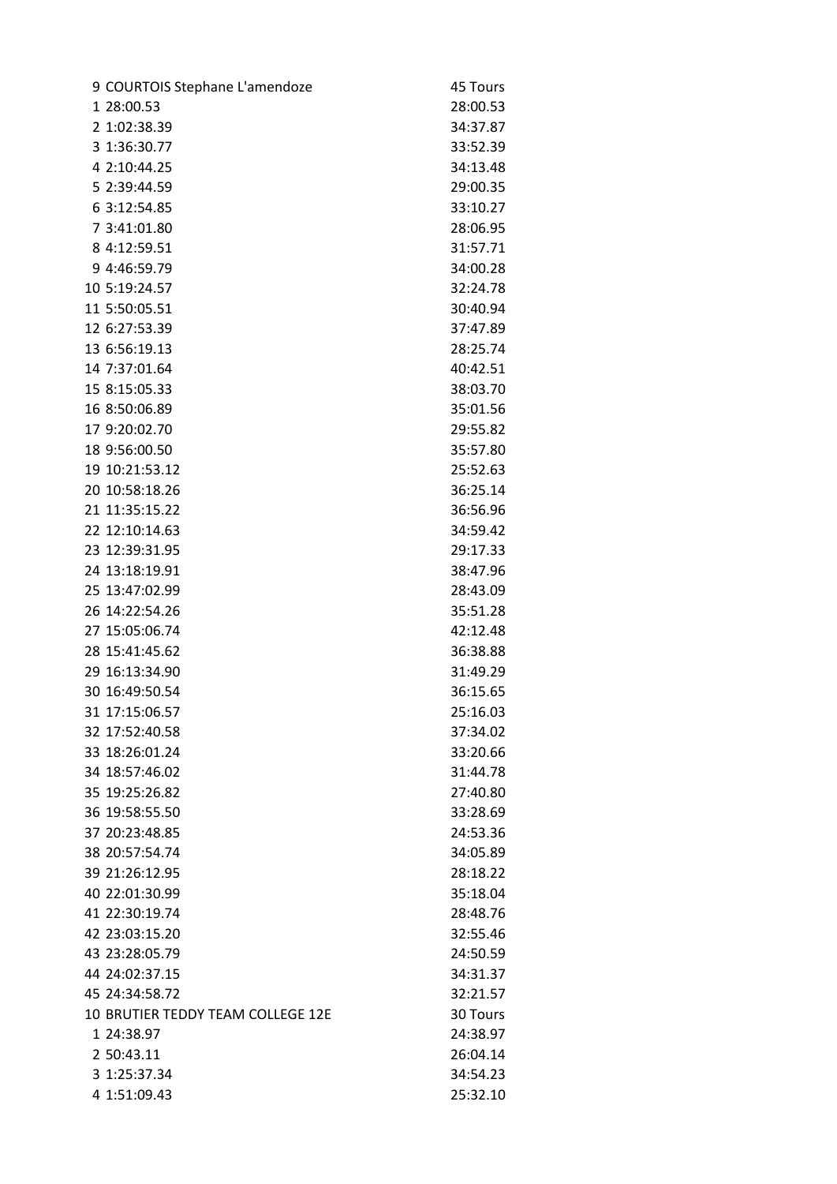| 9 COURTOIS Stephane L'amendoze    | 45 Tours |
|-----------------------------------|----------|
| 1 28:00.53                        | 28:00.53 |
| 2 1:02:38.39                      | 34:37.87 |
| 3 1:36:30.77                      | 33:52.39 |
| 4 2:10:44.25                      | 34:13.48 |
| 5 2:39:44.59                      | 29:00.35 |
| 6 3:12:54.85                      | 33:10.27 |
| 7 3:41:01.80                      | 28:06.95 |
| 8 4:12:59.51                      | 31:57.71 |
| 9 4:46:59.79                      | 34:00.28 |
| 10 5:19:24.57                     | 32:24.78 |
| 11 5:50:05.51                     | 30:40.94 |
| 12 6:27:53.39                     | 37:47.89 |
| 13 6:56:19.13                     | 28:25.74 |
| 14 7:37:01.64                     | 40:42.51 |
| 15 8:15:05.33                     | 38:03.70 |
| 16 8:50:06.89                     | 35:01.56 |
| 17 9:20:02.70                     | 29:55.82 |
| 18 9:56:00.50                     | 35:57.80 |
| 19 10:21:53.12                    | 25:52.63 |
| 20 10:58:18.26                    | 36:25.14 |
| 21 11:35:15.22                    | 36:56.96 |
| 22 12:10:14.63                    | 34:59.42 |
| 23 12:39:31.95                    | 29:17.33 |
| 24 13:18:19.91                    | 38:47.96 |
| 25 13:47:02.99                    | 28:43.09 |
| 26 14:22:54.26                    | 35:51.28 |
| 27 15:05:06.74                    | 42:12.48 |
| 28 15:41:45.62                    | 36:38.88 |
| 29 16:13:34.90                    | 31:49.29 |
| 30 16:49:50.54                    | 36:15.65 |
| 31 17:15:06.57                    | 25:16.03 |
| 32 17:52:40.58                    | 37:34.02 |
| 33 18:26:01.24                    | 33:20.66 |
| 34 18:57:46.02                    | 31:44.78 |
| 35 19:25:26.82                    | 27:40.80 |
| 36 19:58:55.50                    | 33:28.69 |
| 37 20:23:48.85                    | 24:53.36 |
| 38 20:57:54.74                    | 34:05.89 |
| 39 21:26:12.95                    | 28:18.22 |
| 40 22:01:30.99                    | 35:18.04 |
| 41 22:30:19.74                    | 28:48.76 |
| 42 23:03:15.20                    | 32:55.46 |
| 43 23:28:05.79                    | 24:50.59 |
| 44 24:02:37.15                    | 34:31.37 |
| 45 24:34:58.72                    | 32:21.57 |
| 10 BRUTIER TEDDY TEAM COLLEGE 12E | 30 Tours |
| 1 24:38.97                        | 24:38.97 |
| 2 50:43.11                        | 26:04.14 |
| 3 1:25:37.34                      | 34:54.23 |
| 4 1:51:09.43                      | 25:32.10 |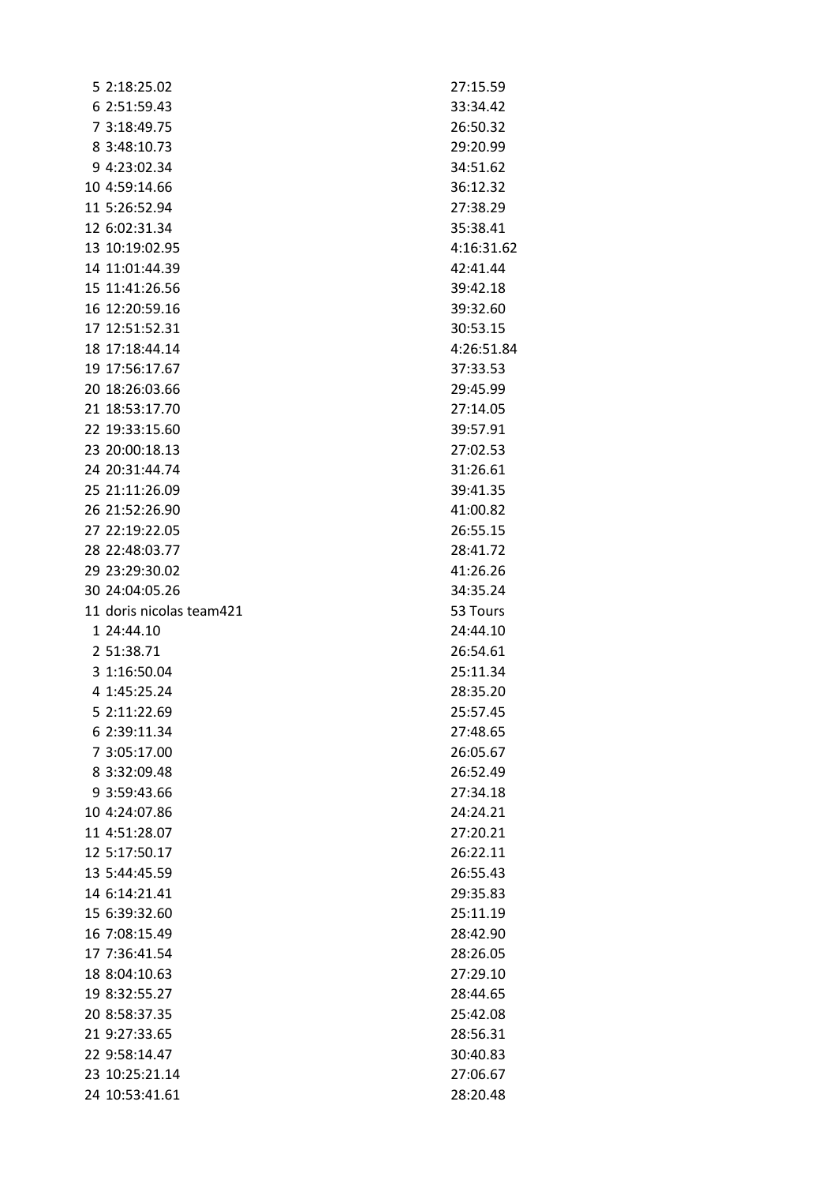| 5 2:18:25.02             | 27:15.59   |
|--------------------------|------------|
| 6 2:51:59.43             | 33:34.42   |
| 7 3:18:49.75             | 26:50.32   |
| 8 3:48:10.73             | 29:20.99   |
| 9 4:23:02.34             | 34:51.62   |
| 10 4:59:14.66            | 36:12.32   |
| 11 5:26:52.94            | 27:38.29   |
| 12 6:02:31.34            | 35:38.41   |
| 13 10:19:02.95           | 4:16:31.62 |
| 14 11:01:44.39           | 42:41.44   |
| 15 11:41:26.56           | 39:42.18   |
| 16 12:20:59.16           | 39:32.60   |
| 17 12:51:52.31           | 30:53.15   |
| 18 17:18:44.14           | 4:26:51.84 |
| 19 17:56:17.67           | 37:33.53   |
| 20 18:26:03.66           | 29:45.99   |
| 21 18:53:17.70           | 27:14.05   |
| 22 19:33:15.60           | 39:57.91   |
| 23 20:00:18.13           | 27:02.53   |
| 24 20:31:44.74           | 31:26.61   |
| 25 21:11:26.09           | 39:41.35   |
| 26 21:52:26.90           | 41:00.82   |
| 27 22:19:22.05           | 26:55.15   |
| 28 22:48:03.77           | 28:41.72   |
| 29 23:29:30.02           | 41:26.26   |
| 30 24:04:05.26           | 34:35.24   |
| 11 doris nicolas team421 | 53 Tours   |
| 1 24:44.10               | 24:44.10   |
| 2 51:38.71               | 26:54.61   |
| 3 1:16:50.04             | 25:11.34   |
| 4 1:45:25.24             | 28:35.20   |
| 5 2:11:22.69             | 25:57.45   |
| 6 2:39:11.34             | 27:48.65   |
| 7 3:05:17.00             | 26:05.67   |
| 8 3:32:09.48             | 26:52.49   |
| 9 3:59:43.66             | 27:34.18   |
| 10 4:24:07.86            | 24:24.21   |
| 11 4:51:28.07            | 27:20.21   |
| 12 5:17:50.17            | 26:22.11   |
| 13 5:44:45.59            | 26:55.43   |
| 14 6:14:21.41            | 29:35.83   |
| 15 6:39:32.60            | 25:11.19   |
| 16 7:08:15.49            | 28:42.90   |
| 17 7:36:41.54            | 28:26.05   |
| 18 8:04:10.63            | 27:29.10   |
| 19 8:32:55.27            | 28:44.65   |
| 20 8:58:37.35            | 25:42.08   |
| 21 9:27:33.65            | 28:56.31   |
| 22 9:58:14.47            | 30:40.83   |
| 23 10:25:21.14           | 27:06.67   |
| 24 10:53:41.61           | 28:20.48   |
|                          |            |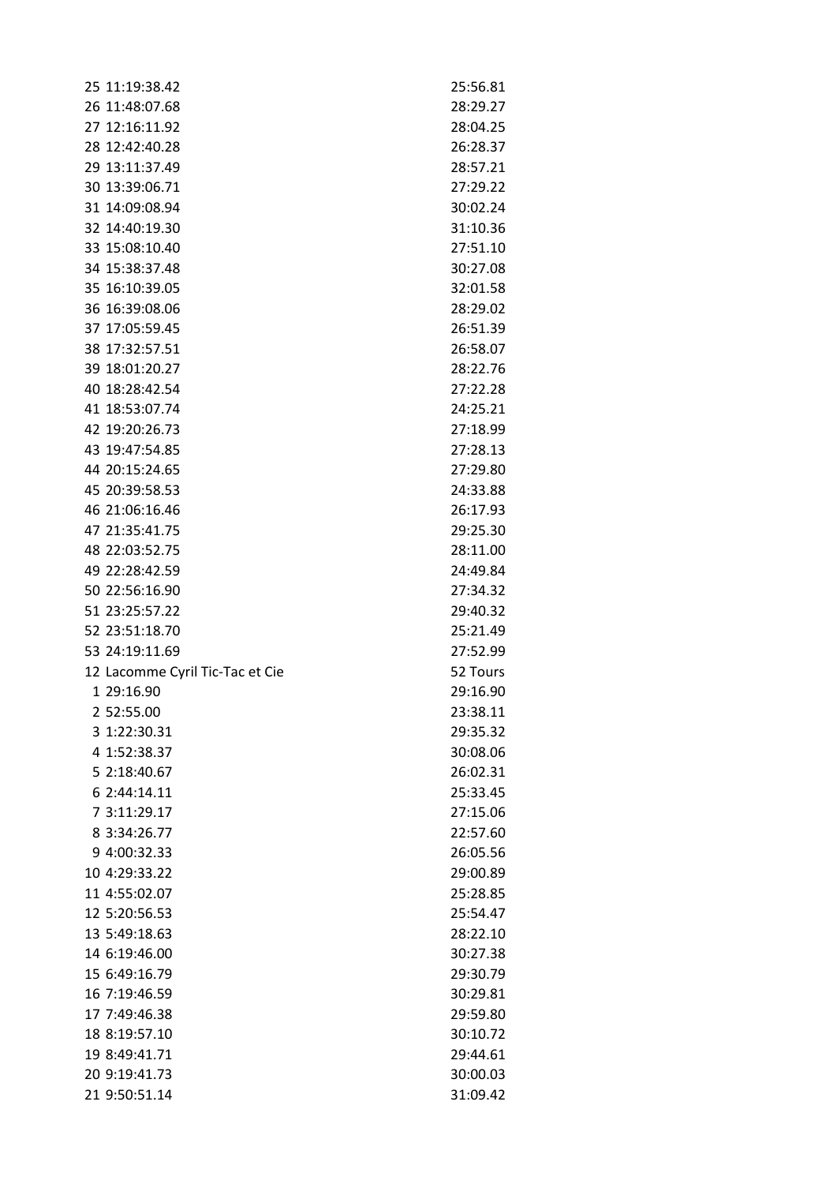| 25 11:19:38.42                  | 25:56.81 |
|---------------------------------|----------|
| 26 11:48:07.68                  | 28:29.27 |
| 27 12:16:11.92                  | 28:04.25 |
| 28 12:42:40.28                  | 26:28.37 |
| 29 13:11:37.49                  | 28:57.21 |
| 30 13:39:06.71                  | 27:29.22 |
| 31 14:09:08.94                  | 30:02.24 |
| 32 14:40:19.30                  | 31:10.36 |
| 33 15:08:10.40                  | 27:51.10 |
| 34 15:38:37.48                  | 30:27.08 |
| 35 16:10:39.05                  | 32:01.58 |
| 36 16:39:08.06                  | 28:29.02 |
| 37 17:05:59.45                  | 26:51.39 |
| 38 17:32:57.51                  | 26:58.07 |
| 39 18:01:20.27                  | 28:22.76 |
| 40 18:28:42.54                  | 27:22.28 |
| 41 18:53:07.74                  | 24:25.21 |
| 42 19:20:26.73                  | 27:18.99 |
| 43 19:47:54.85                  | 27:28.13 |
| 44 20:15:24.65                  | 27:29.80 |
| 45 20:39:58.53                  | 24:33.88 |
| 46 21:06:16.46                  | 26:17.93 |
| 47 21:35:41.75                  | 29:25.30 |
| 48 22:03:52.75                  | 28:11.00 |
| 49 22:28:42.59                  | 24:49.84 |
| 50 22:56:16.90                  | 27:34.32 |
| 51 23:25:57.22                  | 29:40.32 |
| 52 23:51:18.70                  | 25:21.49 |
| 53 24:19:11.69                  | 27:52.99 |
| 12 Lacomme Cyril Tic-Tac et Cie | 52 Tours |
| 1 29:16.90                      | 29:16.90 |
| 2 52:55.00                      | 23:38.11 |
| 3 1:22:30.31                    | 29:35.32 |
| 4 1:52:38.37                    | 30:08.06 |
| 5 2:18:40.67                    | 26:02.31 |
| 6 2:44:14.11                    | 25:33.45 |
| 7 3:11:29.17                    | 27:15.06 |
| 8 3:34:26.77                    | 22:57.60 |
| 9 4:00:32.33                    | 26:05.56 |
| 10 4:29:33.22                   | 29:00.89 |
| 11 4:55:02.07                   | 25:28.85 |
| 12 5:20:56.53                   | 25:54.47 |
| 13 5:49:18.63                   | 28:22.10 |
| 14 6:19:46.00                   | 30:27.38 |
| 15 6:49:16.79                   | 29:30.79 |
| 16 7:19:46.59                   | 30:29.81 |
| 17 7:49:46.38                   | 29:59.80 |
| 18 8:19:57.10                   | 30:10.72 |
| 19 8:49:41.71                   | 29:44.61 |
| 20 9:19:41.73                   | 30:00.03 |
| 21 9:50:51.14                   | 31:09.42 |
|                                 |          |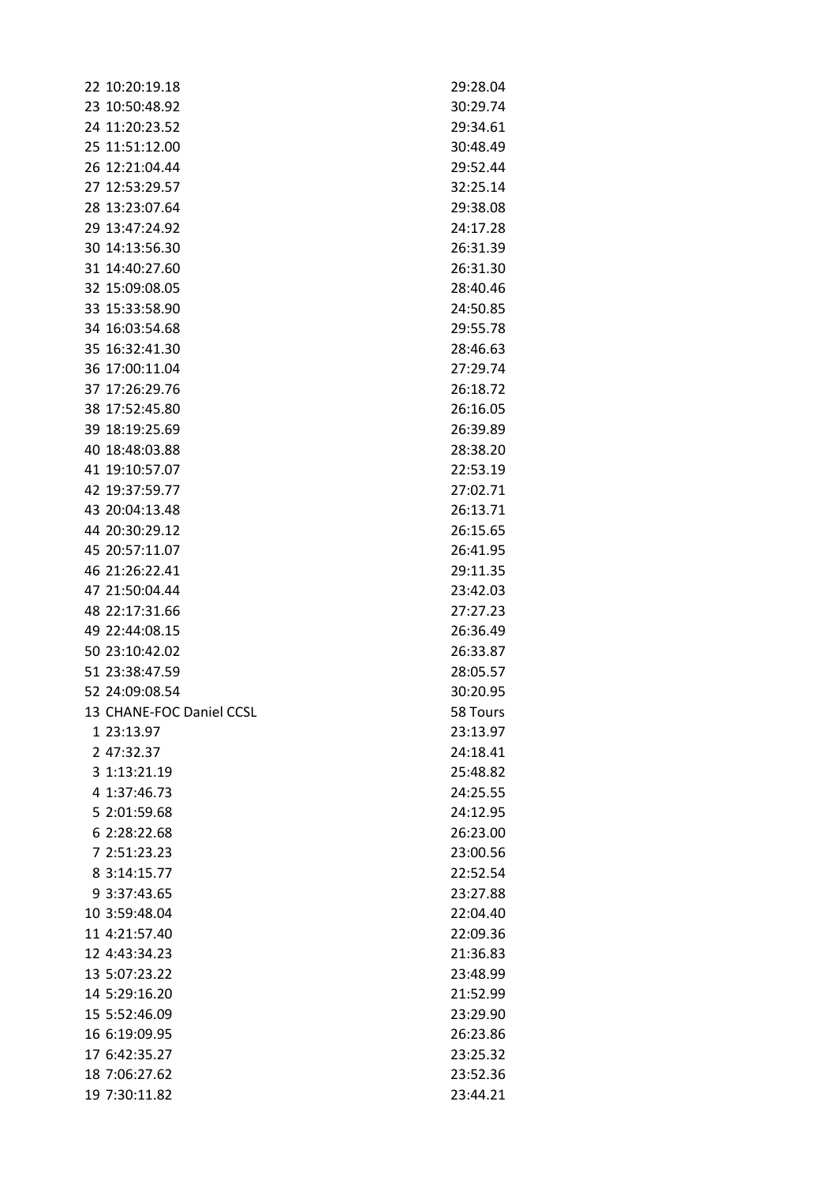| 22 10:20:19.18           | 29:28.04 |
|--------------------------|----------|
| 23 10:50:48.92           | 30:29.74 |
| 24 11:20:23.52           | 29:34.61 |
| 25 11:51:12.00           | 30:48.49 |
| 26 12:21:04.44           | 29:52.44 |
| 27 12:53:29.57           | 32:25.14 |
| 28 13:23:07.64           | 29:38.08 |
| 29 13:47:24.92           | 24:17.28 |
| 30 14:13:56.30           | 26:31.39 |
| 31 14:40:27.60           | 26:31.30 |
| 32 15:09:08.05           | 28:40.46 |
| 33 15:33:58.90           | 24:50.85 |
| 34 16:03:54.68           | 29:55.78 |
| 35 16:32:41.30           | 28:46.63 |
| 36 17:00:11.04           | 27:29.74 |
| 37 17:26:29.76           | 26:18.72 |
| 38 17:52:45.80           | 26:16.05 |
| 39 18:19:25.69           | 26:39.89 |
| 40 18:48:03.88           | 28:38.20 |
| 41 19:10:57.07           | 22:53.19 |
| 42 19:37:59.77           | 27:02.71 |
| 43 20:04:13.48           | 26:13.71 |
| 44 20:30:29.12           | 26:15.65 |
| 45 20:57:11.07           | 26:41.95 |
| 46 21:26:22.41           | 29:11.35 |
| 47 21:50:04.44           | 23:42.03 |
| 48 22:17:31.66           | 27:27.23 |
| 49 22:44:08.15           | 26:36.49 |
| 50 23:10:42.02           | 26:33.87 |
| 51 23:38:47.59           | 28:05.57 |
| 52 24:09:08.54           | 30:20.95 |
| 13 CHANE-FOC Daniel CCSL | 58 Tours |
| 1 23:13.97               | 23:13.97 |
| 2 47:32.37               | 24:18.41 |
| 3 1:13:21.19             | 25:48.82 |
| 4 1:37:46.73             | 24:25.55 |
| 5 2:01:59.68             | 24:12.95 |
| 6 2:28:22.68             | 26:23.00 |
| 7 2:51:23.23             | 23:00.56 |
| 8 3:14:15.77             | 22:52.54 |
| 9 3:37:43.65             | 23:27.88 |
| 10 3:59:48.04            | 22:04.40 |
| 11 4:21:57.40            | 22:09.36 |
| 12 4:43:34.23            | 21:36.83 |
| 13 5:07:23.22            | 23:48.99 |
| 14 5:29:16.20            | 21:52.99 |
| 15 5:52:46.09            | 23:29.90 |
| 16 6:19:09.95            | 26:23.86 |
| 17 6:42:35.27            | 23:25.32 |
| 18 7:06:27.62            | 23:52.36 |
| 19 7:30:11.82            | 23:44.21 |
|                          |          |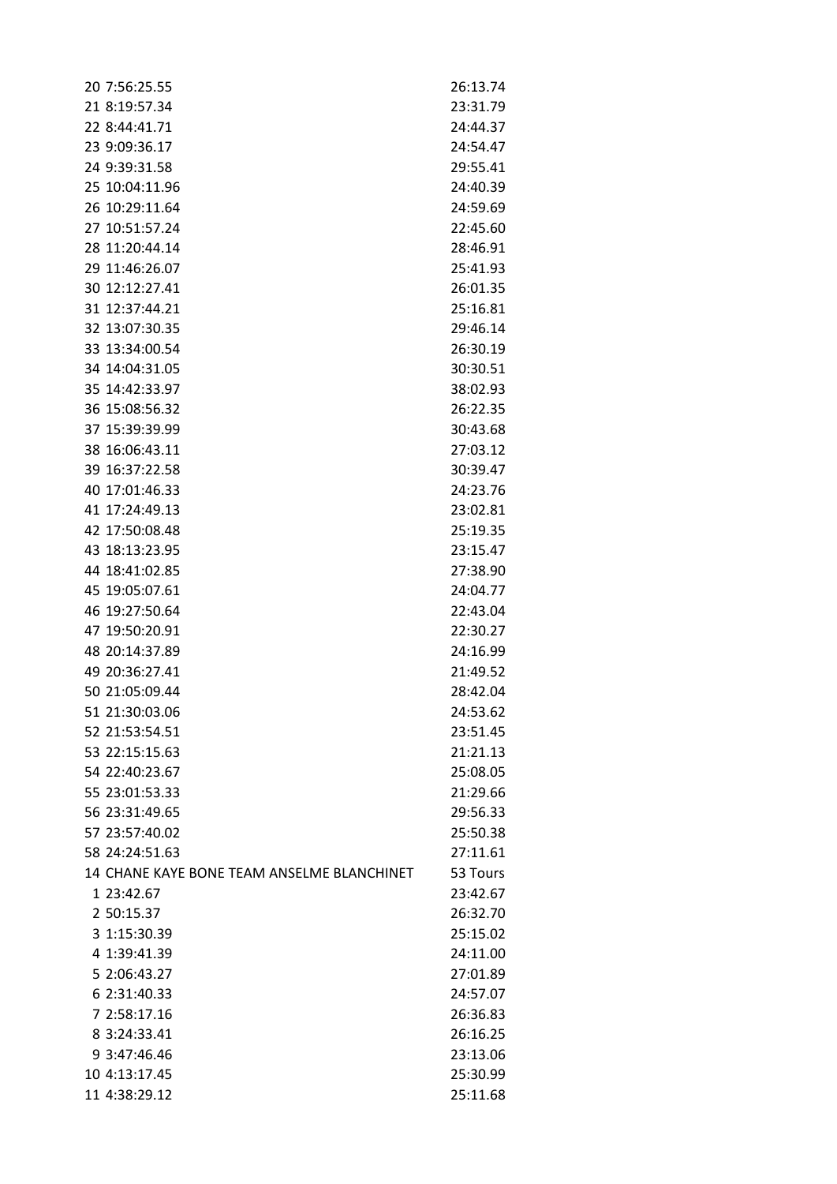| 20 7:56:25.55                              | 26:13.74 |
|--------------------------------------------|----------|
| 21 8:19:57.34                              | 23:31.79 |
| 22 8:44:41.71                              | 24:44.37 |
| 23 9:09:36.17                              | 24:54.47 |
| 24 9:39:31.58                              | 29:55.41 |
| 25 10:04:11.96                             | 24:40.39 |
| 26 10:29:11.64                             | 24:59.69 |
| 27 10:51:57.24                             | 22:45.60 |
| 28 11:20:44.14                             | 28:46.91 |
| 29 11:46:26.07                             | 25:41.93 |
| 30 12:12:27.41                             | 26:01.35 |
| 31 12:37:44.21                             | 25:16.81 |
| 32 13:07:30.35                             | 29:46.14 |
| 33 13:34:00.54                             | 26:30.19 |
| 34 14:04:31.05                             | 30:30.51 |
| 35 14:42:33.97                             | 38:02.93 |
| 36 15:08:56.32                             | 26:22.35 |
| 37 15:39:39.99                             | 30:43.68 |
| 38 16:06:43.11                             | 27:03.12 |
| 39 16:37:22.58                             | 30:39.47 |
| 40 17:01:46.33                             | 24:23.76 |
| 41 17:24:49.13                             | 23:02.81 |
| 42 17:50:08.48                             | 25:19.35 |
| 43 18:13:23.95                             | 23:15.47 |
| 44 18:41:02.85                             | 27:38.90 |
| 45 19:05:07.61                             | 24:04.77 |
| 46 19:27:50.64                             | 22:43.04 |
| 47 19:50:20.91                             | 22:30.27 |
| 48 20:14:37.89                             | 24:16.99 |
| 49 20:36:27.41                             | 21:49.52 |
| 50 21:05:09.44                             | 28:42.04 |
| 51 21:30:03.06                             | 24:53.62 |
| 52 21:53:54.51                             | 23:51.45 |
| 53 22:15:15.63                             | 21:21.13 |
| 54 22:40:23.67                             | 25:08.05 |
| 55 23:01:53.33                             | 21:29.66 |
| 56 23:31:49.65                             | 29:56.33 |
| 57 23:57:40.02                             | 25:50.38 |
| 58 24:24:51.63                             | 27:11.61 |
| 14 CHANE KAYE BONE TEAM ANSELME BLANCHINET | 53 Tours |
| 1 23:42.67                                 | 23:42.67 |
| 2 50:15.37                                 | 26:32.70 |
| 3 1:15:30.39                               | 25:15.02 |
| 4 1:39:41.39                               | 24:11.00 |
| 5 2:06:43.27                               | 27:01.89 |
| 6 2:31:40.33                               | 24:57.07 |
| 7 2:58:17.16                               | 26:36.83 |
| 8 3:24:33.41                               | 26:16.25 |
| 9 3:47:46.46                               | 23:13.06 |
| 10 4:13:17.45                              | 25:30.99 |
| 11 4:38:29.12                              | 25:11.68 |
|                                            |          |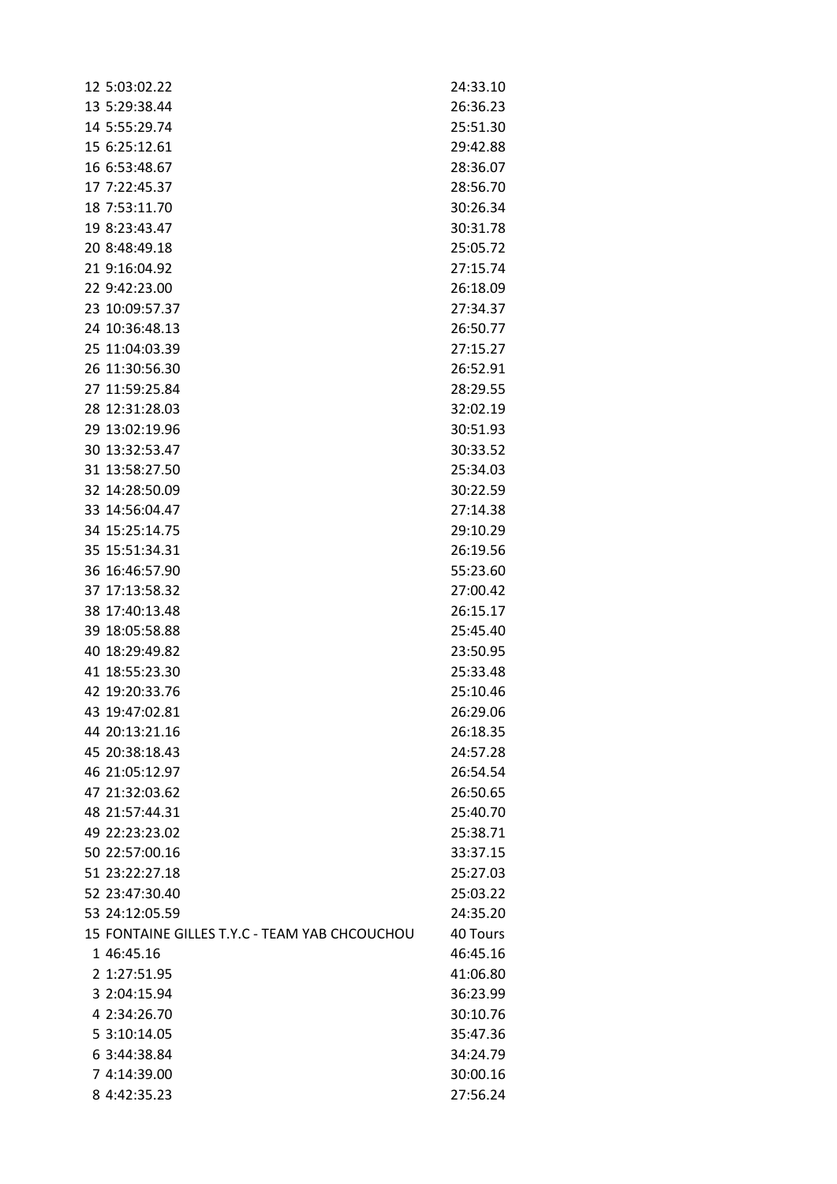| 12 5:03:02.22                                 | 24:33.10 |
|-----------------------------------------------|----------|
| 13 5:29:38.44                                 | 26:36.23 |
| 14 5:55:29.74                                 | 25:51.30 |
| 15 6:25:12.61                                 | 29:42.88 |
| 16 6:53:48.67                                 | 28:36.07 |
| 17 7:22:45.37                                 | 28:56.70 |
| 18 7:53:11.70                                 | 30:26.34 |
| 19 8:23:43.47                                 | 30:31.78 |
| 20 8:48:49.18                                 | 25:05.72 |
| 21 9:16:04.92                                 | 27:15.74 |
| 22 9:42:23.00                                 | 26:18.09 |
| 23 10:09:57.37                                | 27:34.37 |
| 24 10:36:48.13                                | 26:50.77 |
| 25 11:04:03.39                                | 27:15.27 |
| 26 11:30:56.30                                | 26:52.91 |
| 27 11:59:25.84                                | 28:29.55 |
| 28 12:31:28.03                                | 32:02.19 |
| 29 13:02:19.96                                | 30:51.93 |
| 30 13:32:53.47                                | 30:33.52 |
| 31 13:58:27.50                                | 25:34.03 |
| 32 14:28:50.09                                | 30:22.59 |
| 33 14:56:04.47                                | 27:14.38 |
| 34 15:25:14.75                                | 29:10.29 |
| 35 15:51:34.31                                | 26:19.56 |
| 36 16:46:57.90                                | 55:23.60 |
| 37 17:13:58.32                                | 27:00.42 |
| 38 17:40:13.48                                | 26:15.17 |
| 39 18:05:58.88                                | 25:45.40 |
| 40 18:29:49.82                                | 23:50.95 |
| 41 18:55:23.30                                | 25:33.48 |
| 42 19:20:33.76                                | 25:10.46 |
| 43 19:47:02.81                                | 26:29.06 |
| 44 20:13:21.16                                | 26:18.35 |
| 45 20:38:18.43                                | 24:57.28 |
| 46 21:05:12.97                                | 26:54.54 |
| 47 21:32:03.62                                | 26:50.65 |
| 48 21:57:44.31                                | 25:40.70 |
| 49 22:23:23.02                                | 25:38.71 |
| 50 22:57:00.16                                | 33:37.15 |
| 51 23:22:27.18                                | 25:27.03 |
| 52 23:47:30.40                                | 25:03.22 |
| 53 24:12:05.59                                | 24:35.20 |
| 15 FONTAINE GILLES T.Y.C - TEAM YAB CHCOUCHOU | 40 Tours |
| 1 46:45.16                                    | 46:45.16 |
| 2 1:27:51.95                                  | 41:06.80 |
| 3 2:04:15.94                                  | 36:23.99 |
| 4 2:34:26.70                                  | 30:10.76 |
| 5 3:10:14.05                                  | 35:47.36 |
| 6 3:44:38.84                                  | 34:24.79 |
| 7 4:14:39.00                                  | 30:00.16 |
| 8 4:42:35.23                                  | 27:56.24 |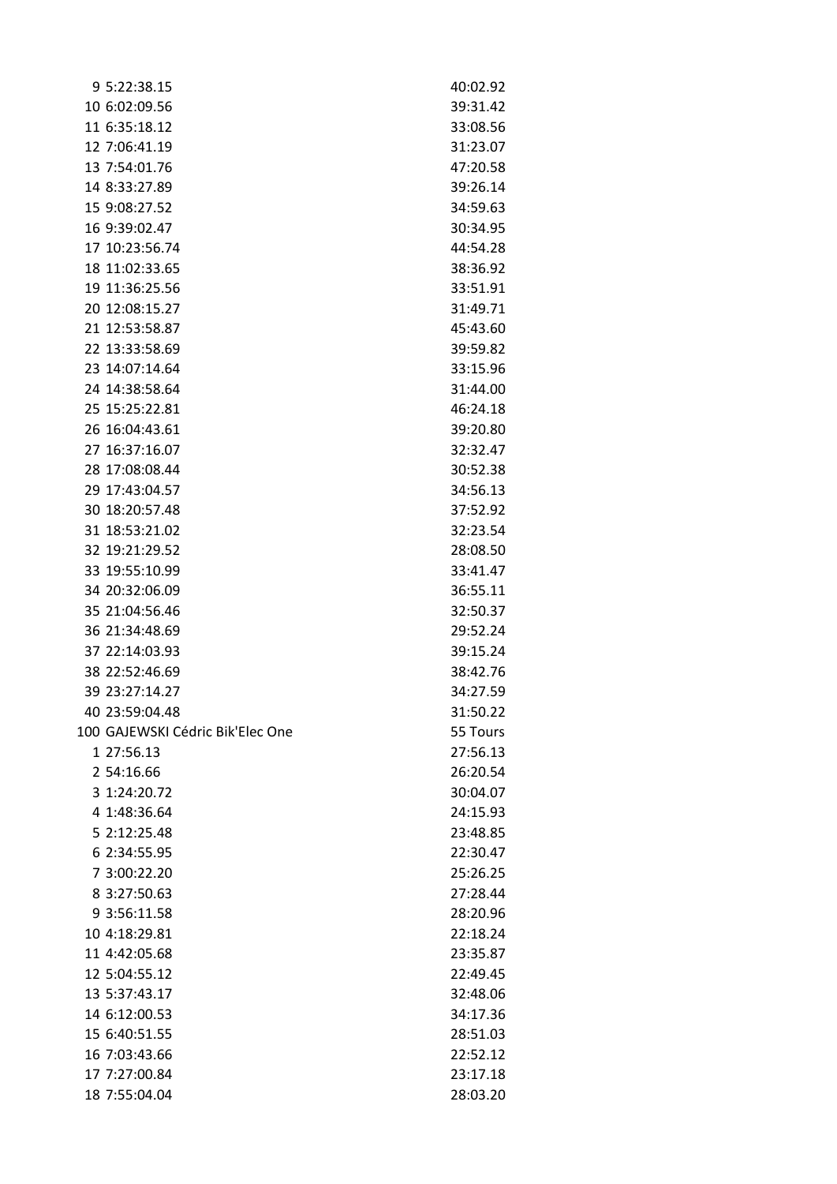| 9 5:22:38.15                     | 40:02.92 |
|----------------------------------|----------|
| 10 6:02:09.56                    | 39:31.42 |
| 11 6:35:18.12                    | 33:08.56 |
| 12 7:06:41.19                    | 31:23.07 |
| 13 7:54:01.76                    | 47:20.58 |
| 14 8:33:27.89                    | 39:26.14 |
| 15 9:08:27.52                    | 34:59.63 |
| 16 9:39:02.47                    | 30:34.95 |
| 17 10:23:56.74                   | 44:54.28 |
| 18 11:02:33.65                   | 38:36.92 |
| 19 11:36:25.56                   | 33:51.91 |
| 20 12:08:15.27                   | 31:49.71 |
| 21 12:53:58.87                   | 45:43.60 |
| 22 13:33:58.69                   | 39:59.82 |
| 23 14:07:14.64                   | 33:15.96 |
| 24 14:38:58.64                   | 31:44.00 |
| 25 15:25:22.81                   | 46:24.18 |
| 26 16:04:43.61                   | 39:20.80 |
| 27 16:37:16.07                   | 32:32.47 |
| 28 17:08:08.44                   | 30:52.38 |
| 29 17:43:04.57                   | 34:56.13 |
| 30 18:20:57.48                   | 37:52.92 |
| 31 18:53:21.02                   | 32:23.54 |
| 32 19:21:29.52                   | 28:08.50 |
| 33 19:55:10.99                   | 33:41.47 |
| 34 20:32:06.09                   | 36:55.11 |
| 35 21:04:56.46                   | 32:50.37 |
| 36 21:34:48.69                   | 29:52.24 |
| 37 22:14:03.93                   | 39:15.24 |
| 38 22:52:46.69                   | 38:42.76 |
| 39 23:27:14.27                   | 34:27.59 |
| 40 23:59:04.48                   | 31:50.22 |
| 100 GAJEWSKI Cédric Bik'Elec One | 55 Tours |
| 1 27:56.13                       | 27:56.13 |
| 2 54:16.66                       | 26:20.54 |
| 3 1:24:20.72                     | 30:04.07 |
| 4 1:48:36.64                     | 24:15.93 |
| 5 2:12:25.48                     | 23:48.85 |
| 6 2:34:55.95                     | 22:30.47 |
| 7 3:00:22.20                     | 25:26.25 |
| 8 3:27:50.63                     | 27:28.44 |
| 9 3:56:11.58                     | 28:20.96 |
| 10 4:18:29.81                    | 22:18.24 |
| 11 4:42:05.68                    | 23:35.87 |
| 12 5:04:55.12                    | 22:49.45 |
| 13 5:37:43.17                    | 32:48.06 |
| 14 6:12:00.53                    | 34:17.36 |
| 15 6:40:51.55                    | 28:51.03 |
| 16 7:03:43.66                    | 22:52.12 |
| 17 7:27:00.84                    | 23:17.18 |
| 18 7:55:04.04                    | 28:03.20 |
|                                  |          |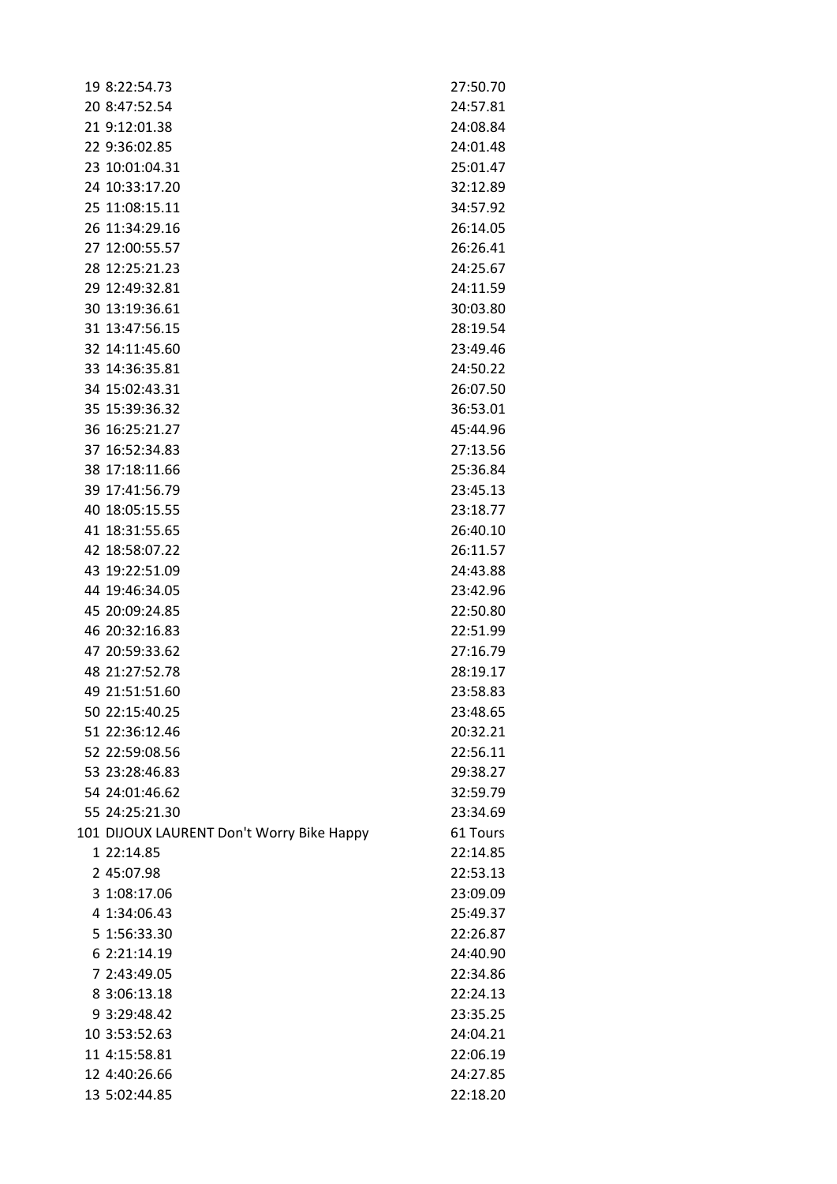| 19 8:22:54.73                             | 27:50.70 |
|-------------------------------------------|----------|
| 20 8:47:52.54                             | 24:57.81 |
| 21 9:12:01.38                             | 24:08.84 |
| 22 9:36:02.85                             | 24:01.48 |
| 23 10:01:04.31                            | 25:01.47 |
| 24 10:33:17.20                            | 32:12.89 |
| 25 11:08:15.11                            | 34:57.92 |
| 26 11:34:29.16                            | 26:14.05 |
| 27 12:00:55.57                            | 26:26.41 |
| 28 12:25:21.23                            | 24:25.67 |
| 29 12:49:32.81                            | 24:11.59 |
| 30 13:19:36.61                            | 30:03.80 |
| 31 13:47:56.15                            | 28:19.54 |
| 32 14:11:45.60                            | 23:49.46 |
| 33 14:36:35.81                            | 24:50.22 |
| 34 15:02:43.31                            | 26:07.50 |
| 35 15:39:36.32                            | 36:53.01 |
| 36 16:25:21.27                            | 45:44.96 |
| 37 16:52:34.83                            | 27:13.56 |
| 38 17:18:11.66                            | 25:36.84 |
| 39 17:41:56.79                            | 23:45.13 |
| 40 18:05:15.55                            | 23:18.77 |
| 41 18:31:55.65                            | 26:40.10 |
| 42 18:58:07.22                            | 26:11.57 |
| 43 19:22:51.09                            | 24:43.88 |
| 44 19:46:34.05                            | 23:42.96 |
| 45 20:09:24.85                            | 22:50.80 |
| 46 20:32:16.83                            | 22:51.99 |
| 47 20:59:33.62                            | 27:16.79 |
| 48 21:27:52.78                            | 28:19.17 |
| 49 21:51:51.60                            | 23:58.83 |
| 50 22:15:40.25                            | 23:48.65 |
| 51 22:36:12.46                            | 20:32.21 |
| 52 22:59:08.56                            | 22:56.11 |
| 53 23:28:46.83                            | 29:38.27 |
| 54 24:01:46.62                            | 32:59.79 |
| 55 24:25:21.30                            | 23:34.69 |
| 101 DIJOUX LAURENT Don't Worry Bike Happy | 61 Tours |
| 1 22:14.85                                | 22:14.85 |
| 2 45:07.98                                | 22:53.13 |
| 3 1:08:17.06                              | 23:09.09 |
| 4 1:34:06.43                              | 25:49.37 |
| 5 1:56:33.30                              | 22:26.87 |
| 6 2:21:14.19                              | 24:40.90 |
| 7 2:43:49.05                              | 22:34.86 |
| 8 3:06:13.18                              | 22:24.13 |
| 9 3:29:48.42                              | 23:35.25 |
| 10 3:53:52.63                             | 24:04.21 |
| 11 4:15:58.81                             | 22:06.19 |
| 12 4:40:26.66                             | 24:27.85 |
| 13 5:02:44.85                             | 22:18.20 |
|                                           |          |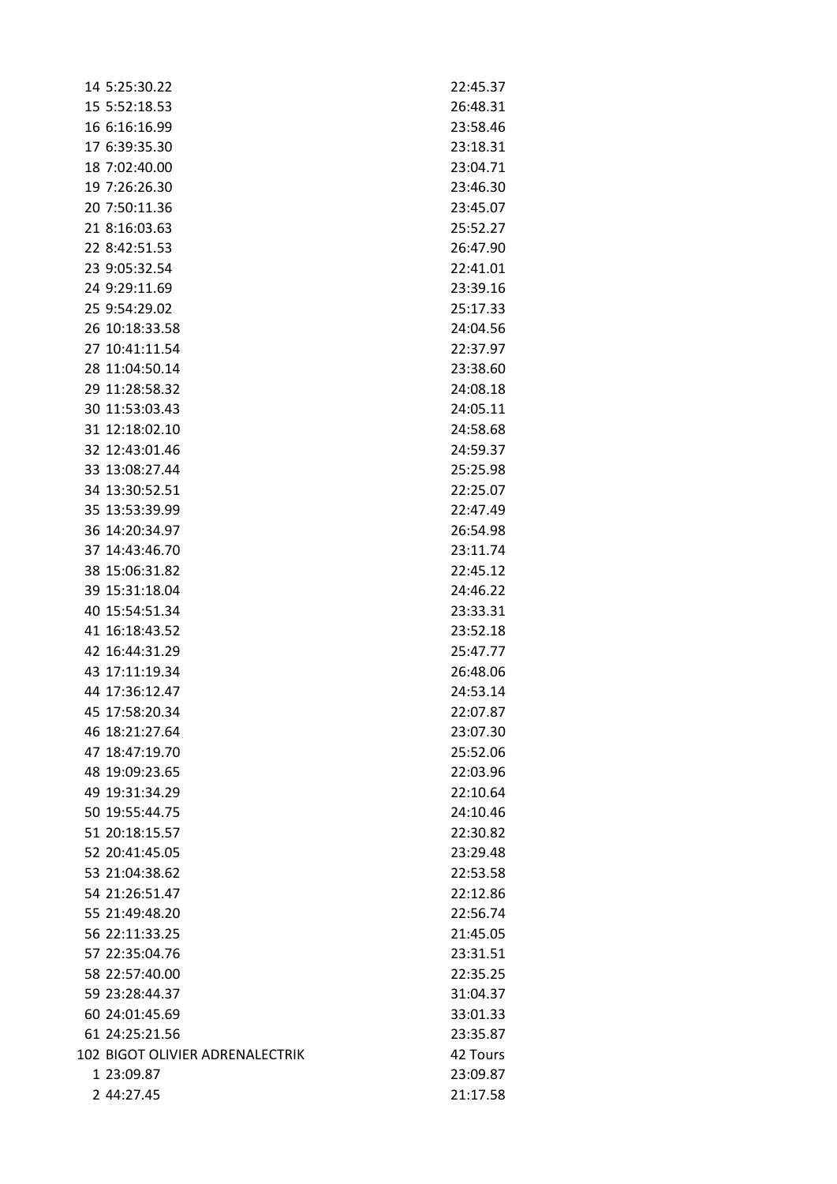| 14 5:25:30.22                    | 22:45.37 |
|----------------------------------|----------|
| 15 5:52:18.53                    | 26:48.31 |
| 16 6:16:16.99                    | 23:58.46 |
| 17 6:39:35.30                    | 23:18.31 |
| 18 7:02:40.00                    | 23:04.71 |
| 19 7:26:26.30                    | 23:46.30 |
| 20 7:50:11.36                    | 23:45.07 |
| 21 8:16:03.63                    | 25:52.27 |
| 22 8:42:51.53                    | 26:47.90 |
| 23 9:05:32.54                    | 22:41.01 |
| 24 9:29:11.69                    | 23:39.16 |
| 25 9:54:29.02                    | 25:17.33 |
| 26 10:18:33.58                   | 24:04.56 |
| 27 10:41:11.54                   | 22:37.97 |
| 28 11:04:50.14                   | 23:38.60 |
| 29 11:28:58.32                   | 24:08.18 |
| 30 11:53:03.43                   | 24:05.11 |
| 31 12:18:02.10                   | 24:58.68 |
| 32 12:43:01.46                   | 24:59.37 |
| 33 13:08:27.44                   | 25:25.98 |
| 34 13:30:52.51                   | 22:25.07 |
| 35 13:53:39.99                   | 22:47.49 |
| 36 14:20:34.97                   | 26:54.98 |
| 37 14:43:46.70                   | 23:11.74 |
| 38 15:06:31.82                   | 22:45.12 |
| 39 15:31:18.04                   | 24:46.22 |
| 40 15:54:51.34                   | 23:33.31 |
| 41 16:18:43.52                   | 23:52.18 |
| 42 16:44:31.29                   | 25:47.77 |
| 43 17:11:19.34                   | 26:48.06 |
| 44 17:36:12.47                   | 24:53.14 |
|                                  |          |
| 45 17:58:20.34                   | 22:07.87 |
| 46 18:21:27.64                   | 23:07.30 |
| 47 18:47:19.70                   | 25:52.06 |
| 48 19:09:23.65<br>49 19:31:34.29 | 22:03.96 |
|                                  | 22:10.64 |
| 50 19:55:44.75                   | 24:10.46 |
| 51 20:18:15.57                   | 22:30.82 |
| 52 20:41:45.05                   | 23:29.48 |
| 53 21:04:38.62                   | 22:53.58 |
| 54 21:26:51.47                   | 22:12.86 |
| 55 21:49:48.20                   | 22:56.74 |
| 56 22:11:33.25                   | 21:45.05 |
| 57 22:35:04.76                   | 23:31.51 |
| 58 22:57:40.00                   | 22:35.25 |
| 59 23:28:44.37                   | 31:04.37 |
| 60 24:01:45.69                   | 33:01.33 |
| 61 24:25:21.56                   | 23:35.87 |
| 102 BIGOT OLIVIER ADRENALECTRIK  | 42 Tours |
| 1 23:09.87                       | 23:09.87 |
| 2 44:27.45                       | 21:17.58 |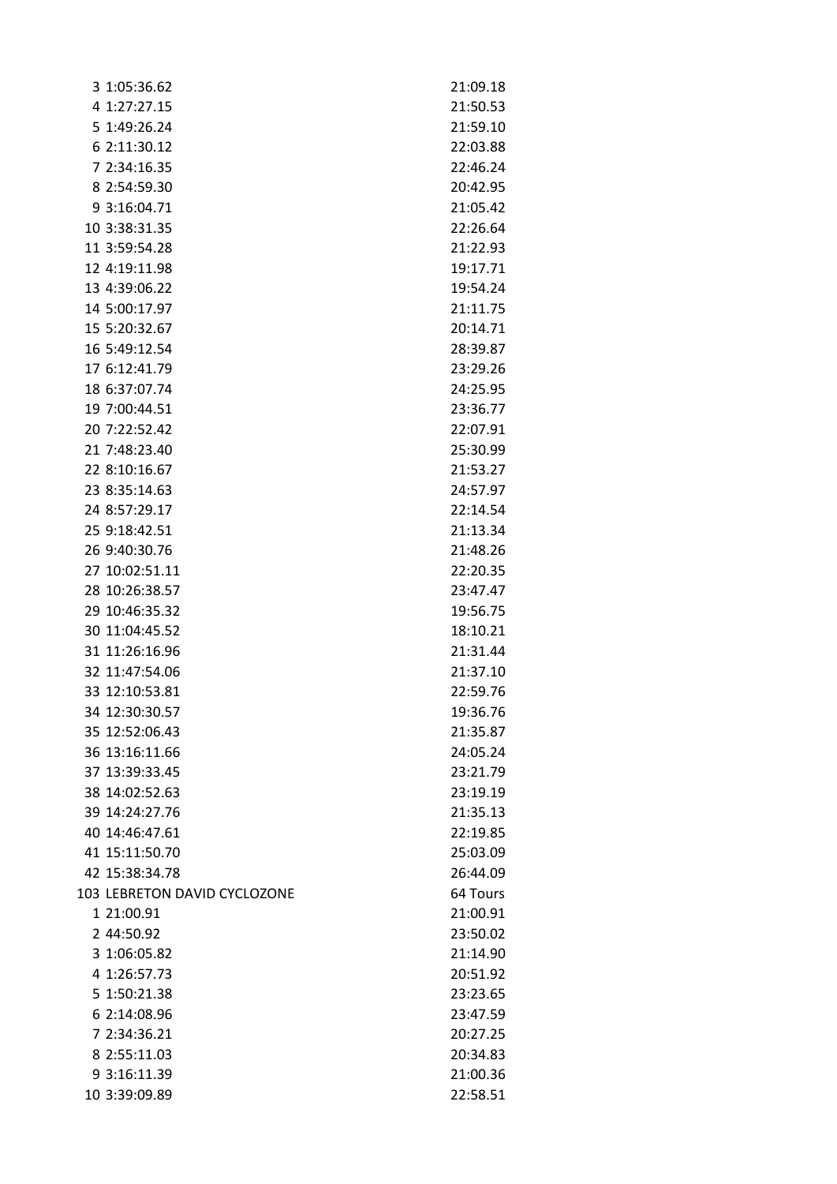| 3 1:05:36.62                 | 21:09.18 |
|------------------------------|----------|
| 4 1:27:27.15                 | 21:50.53 |
| 5 1:49:26.24                 | 21:59.10 |
| 6 2:11:30.12                 | 22:03.88 |
| 7 2:34:16.35                 | 22:46.24 |
| 8 2:54:59.30                 | 20:42.95 |
| 9 3:16:04.71                 | 21:05.42 |
| 10 3:38:31.35                | 22:26.64 |
| 11 3:59:54.28                | 21:22.93 |
| 12 4:19:11.98                | 19:17.71 |
| 13 4:39:06.22                | 19:54.24 |
| 14 5:00:17.97                | 21:11.75 |
| 15 5:20:32.67                | 20:14.71 |
| 16 5:49:12.54                | 28:39.87 |
| 17 6:12:41.79                | 23:29.26 |
| 18 6:37:07.74                | 24:25.95 |
| 19 7:00:44.51                | 23:36.77 |
| 20 7:22:52.42                | 22:07.91 |
| 21 7:48:23.40                | 25:30.99 |
| 22 8:10:16.67                | 21:53.27 |
| 23 8:35:14.63                | 24:57.97 |
| 24 8:57:29.17                | 22:14.54 |
| 25 9:18:42.51                | 21:13.34 |
| 26 9:40:30.76                | 21:48.26 |
| 27 10:02:51.11               | 22:20.35 |
| 28 10:26:38.57               | 23:47.47 |
| 29 10:46:35.32               | 19:56.75 |
| 30 11:04:45.52               | 18:10.21 |
| 31 11:26:16.96               | 21:31.44 |
| 32 11:47:54.06               | 21:37.10 |
| 33 12:10:53.81               | 22:59.76 |
| 34 12:30:30.57               | 19:36.76 |
| 35 12:52:06.43               | 21:35.87 |
| 36 13:16:11.66               | 24:05.24 |
| 37 13:39:33.45               | 23:21.79 |
| 38 14:02:52.63               | 23:19.19 |
| 39 14:24:27.76               | 21:35.13 |
| 40 14:46:47.61               | 22:19.85 |
| 41 15:11:50.70               | 25:03.09 |
| 42 15:38:34.78               | 26:44.09 |
| 103 LEBRETON DAVID CYCLOZONE | 64 Tours |
| 1 21:00.91                   | 21:00.91 |
| 2 44:50.92                   | 23:50.02 |
| 3 1:06:05.82                 | 21:14.90 |
| 4 1:26:57.73                 | 20:51.92 |
| 5 1:50:21.38                 | 23:23.65 |
| 6 2:14:08.96                 | 23:47.59 |
| 7 2:34:36.21                 | 20:27.25 |
| 8 2:55:11.03                 | 20:34.83 |
| 9 3:16:11.39                 | 21:00.36 |
| 10 3:39:09.89                | 22:58.51 |
|                              |          |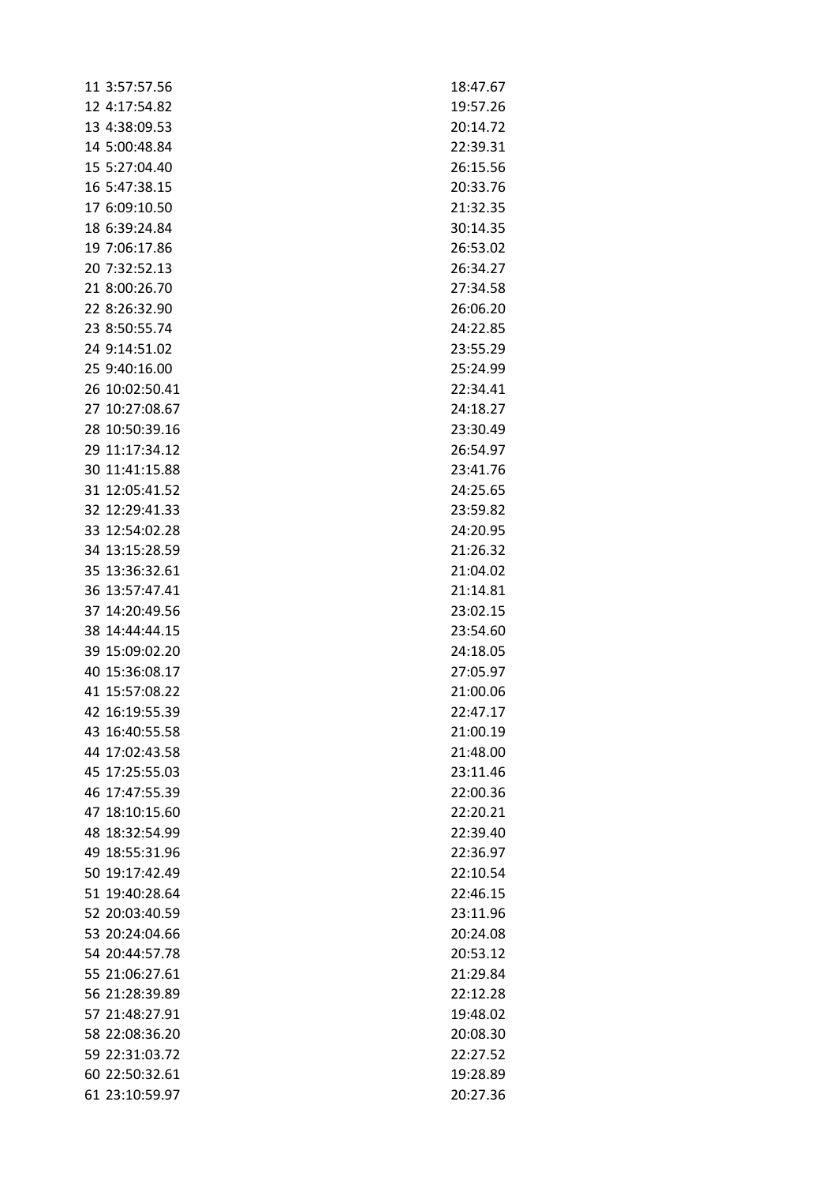| 11 3:57:57.56  | 18:47.67 |
|----------------|----------|
| 12 4:17:54.82  | 19:57.26 |
| 13 4:38:09.53  | 20:14.72 |
| 14 5:00:48.84  | 22:39.31 |
| 15 5:27:04.40  | 26:15.56 |
| 16 5:47:38.15  | 20:33.76 |
| 17 6:09:10.50  | 21:32.35 |
| 18 6:39:24.84  | 30:14.35 |
| 19 7:06:17.86  | 26:53.02 |
| 20 7:32:52.13  | 26:34.27 |
| 21 8:00:26.70  | 27:34.58 |
| 22 8:26:32.90  | 26:06.20 |
| 23 8:50:55.74  | 24:22.85 |
| 24 9:14:51.02  | 23:55.29 |
| 25 9:40:16.00  | 25:24.99 |
| 26 10:02:50.41 | 22:34.41 |
| 27 10:27:08.67 | 24:18.27 |
| 28 10:50:39.16 | 23:30.49 |
| 29 11:17:34.12 | 26:54.97 |
| 30 11:41:15.88 | 23:41.76 |
| 31 12:05:41.52 | 24:25.65 |
| 32 12:29:41.33 | 23:59.82 |
| 33 12:54:02.28 | 24:20.95 |
| 34 13:15:28.59 | 21:26.32 |
| 35 13:36:32.61 | 21:04.02 |
| 36 13:57:47.41 | 21:14.81 |
| 37 14:20:49.56 | 23:02.15 |
| 38 14:44:44.15 | 23:54.60 |
| 39 15:09:02.20 | 24:18.05 |
| 40 15:36:08.17 | 27:05.97 |
| 41 15:57:08.22 | 21:00.06 |
| 42 16:19:55.39 | 22:47.17 |
| 43 16:40:55.58 | 21:00.19 |
| 44 17:02:43.58 | 21:48.00 |
|                |          |
| 45 17:25:55.03 | 23:11.46 |
| 46 17:47:55.39 | 22:00.36 |
| 47 18:10:15.60 | 22:20.21 |
| 48 18:32:54.99 | 22:39.40 |
| 49 18:55:31.96 | 22:36.97 |
| 50 19:17:42.49 | 22:10.54 |
| 51 19:40:28.64 | 22:46.15 |
| 52 20:03:40.59 | 23:11.96 |
| 53 20:24:04.66 | 20:24.08 |
| 54 20:44:57.78 | 20:53.12 |
| 55 21:06:27.61 | 21:29.84 |
| 56 21:28:39.89 | 22:12.28 |
| 57 21:48:27.91 | 19:48.02 |
| 58 22:08:36.20 | 20:08.30 |
| 59 22:31:03.72 | 22:27.52 |
| 60 22:50:32.61 | 19:28.89 |
| 61 23:10:59.97 | 20:27.36 |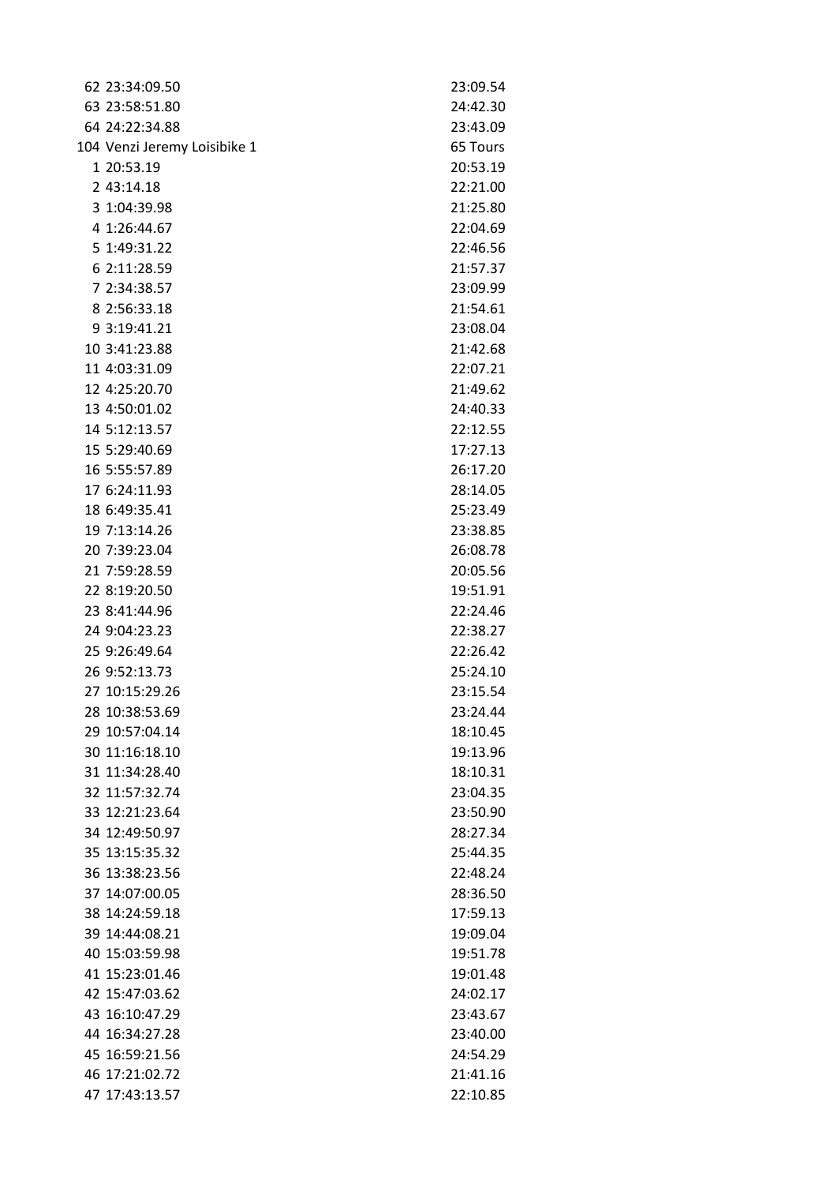| 62 23:34:09.50               | 23:09.54 |
|------------------------------|----------|
| 63 23:58:51.80               | 24:42.30 |
| 64 24:22:34.88               | 23:43.09 |
| 104 Venzi Jeremy Loisibike 1 | 65 Tours |
| 1 20:53.19                   | 20:53.19 |
| 2 43:14.18                   | 22:21.00 |
| 3 1:04:39.98                 | 21:25.80 |
| 4 1:26:44.67                 | 22:04.69 |
| 5 1:49:31.22                 | 22:46.56 |
| 6 2:11:28.59                 | 21:57.37 |
| 7 2:34:38.57                 | 23:09.99 |
| 8 2:56:33.18                 | 21:54.61 |
| 9 3:19:41.21                 | 23:08.04 |
| 10 3:41:23.88                | 21:42.68 |
| 11 4:03:31.09                | 22:07.21 |
| 12 4:25:20.70                | 21:49.62 |
| 13 4:50:01.02                | 24:40.33 |
| 14 5:12:13.57                | 22:12.55 |
| 15 5:29:40.69                | 17:27.13 |
| 16 5:55:57.89                | 26:17.20 |
| 17 6:24:11.93                | 28:14.05 |
| 18 6:49:35.41                | 25:23.49 |
| 19 7:13:14.26                | 23:38.85 |
| 20 7:39:23.04                | 26:08.78 |
| 21 7:59:28.59                | 20:05.56 |
| 22 8:19:20.50                | 19:51.91 |
| 23 8:41:44.96                | 22:24.46 |
| 24 9:04:23.23                | 22:38.27 |
| 25 9:26:49.64                | 22:26.42 |
| 26 9:52:13.73                | 25:24.10 |
| 27 10:15:29.26               | 23:15.54 |
| 28 10:38:53.69               | 23:24.44 |
| 29 10:57:04.14               | 18:10.45 |
| 30 11:16:18.10               | 19:13.96 |
| 31 11:34:28.40               | 18:10.31 |
| 32 11:57:32.74               | 23:04.35 |
| 33 12:21:23.64               | 23:50.90 |
| 34 12:49:50.97               | 28:27.34 |
| 35 13:15:35.32               | 25:44.35 |
| 36 13:38:23.56               | 22:48.24 |
| 37 14:07:00.05               | 28:36.50 |
| 38 14:24:59.18               | 17:59.13 |
| 39 14:44:08.21               | 19:09.04 |
| 40 15:03:59.98               | 19:51.78 |
| 41 15:23:01.46               | 19:01.48 |
| 42 15:47:03.62               | 24:02.17 |
| 43 16:10:47.29               | 23:43.67 |
| 44 16:34:27.28               | 23:40.00 |
| 45 16:59:21.56               | 24:54.29 |
| 46 17:21:02.72               | 21:41.16 |
| 47 17:43:13.57               | 22:10.85 |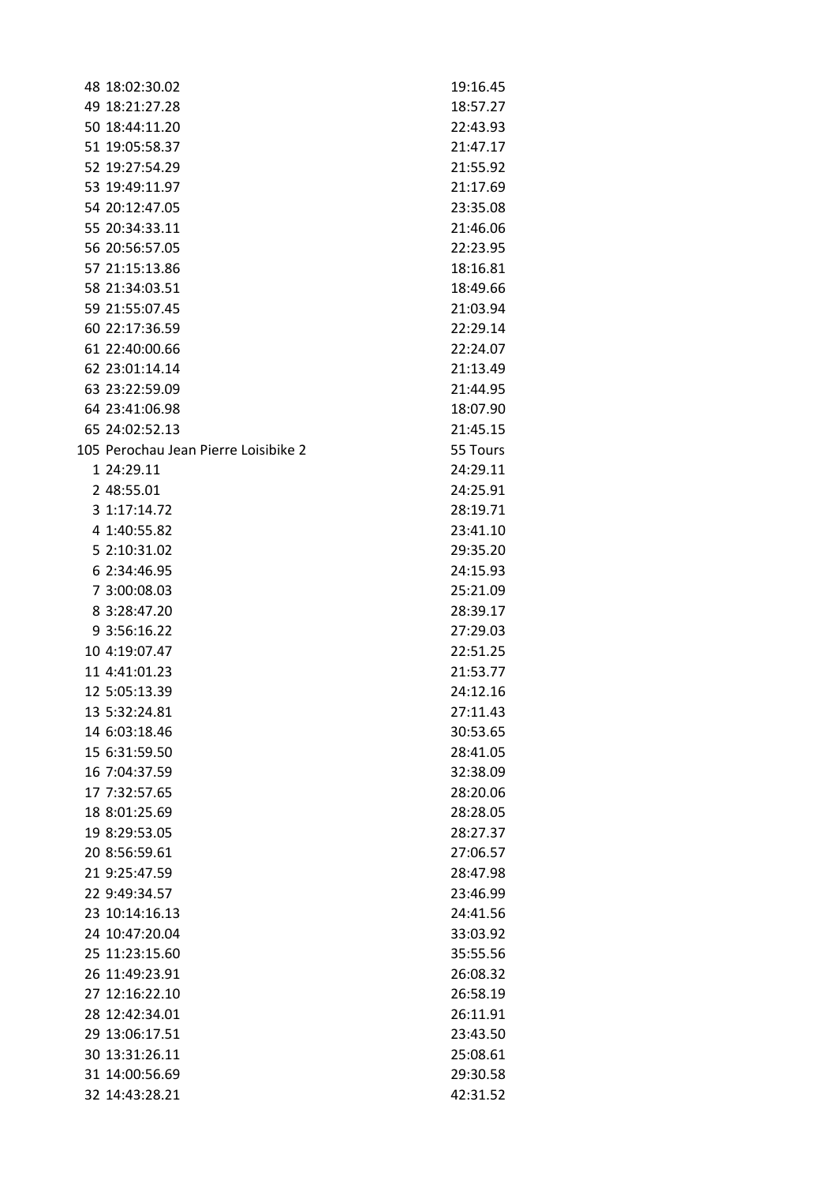| 48 18:02:30.02                       | 19:16.45 |
|--------------------------------------|----------|
| 49 18:21:27.28                       | 18:57.27 |
| 50 18:44:11.20                       | 22:43.93 |
| 51 19:05:58.37                       | 21:47.17 |
| 52 19:27:54.29                       | 21:55.92 |
| 53 19:49:11.97                       | 21:17.69 |
| 54 20:12:47.05                       | 23:35.08 |
| 55 20:34:33.11                       | 21:46.06 |
| 56 20:56:57.05                       | 22:23.95 |
| 57 21:15:13.86                       | 18:16.81 |
| 58 21:34:03.51                       | 18:49.66 |
| 59 21:55:07.45                       | 21:03.94 |
| 60 22:17:36.59                       | 22:29.14 |
| 61 22:40:00.66                       | 22:24.07 |
| 62 23:01:14.14                       | 21:13.49 |
| 63 23:22:59.09                       | 21:44.95 |
| 64 23:41:06.98                       | 18:07.90 |
| 65 24:02:52.13                       | 21:45.15 |
| 105 Perochau Jean Pierre Loisibike 2 | 55 Tours |
| 1 24:29.11                           | 24:29.11 |
| 2 48:55.01                           | 24:25.91 |
| 3 1:17:14.72                         | 28:19.71 |
| 4 1:40:55.82                         | 23:41.10 |
| 5 2:10:31.02                         | 29:35.20 |
| 6 2:34:46.95                         | 24:15.93 |
| 7 3:00:08.03                         | 25:21.09 |
| 8 3:28:47.20                         | 28:39.17 |
| 9 3:56:16.22                         | 27:29.03 |
| 10 4:19:07.47                        | 22:51.25 |
| 11 4:41:01.23                        | 21:53.77 |
| 12 5:05:13.39                        | 24:12.16 |
| 13 5:32:24.81                        | 27:11.43 |
| 14 6:03:18.46                        | 30:53.65 |
| 15 6:31:59.50                        | 28:41.05 |
| 16 7:04:37.59                        | 32:38.09 |
| 17 7:32:57.65                        | 28:20.06 |
| 18 8:01:25.69                        | 28:28.05 |
| 19 8:29:53.05                        | 28:27.37 |
| 20 8:56:59.61                        | 27:06.57 |
| 21 9:25:47.59                        | 28:47.98 |
| 22 9:49:34.57                        | 23:46.99 |
| 23 10:14:16.13                       | 24:41.56 |
| 24 10:47:20.04                       | 33:03.92 |
| 25 11:23:15.60                       | 35:55.56 |
| 26 11:49:23.91                       | 26:08.32 |
| 27 12:16:22.10                       | 26:58.19 |
| 28 12:42:34.01                       | 26:11.91 |
| 29 13:06:17.51                       | 23:43.50 |
| 30 13:31:26.11                       | 25:08.61 |
| 31 14:00:56.69                       | 29:30.58 |
| 32 14:43:28.21                       | 42:31.52 |
|                                      |          |